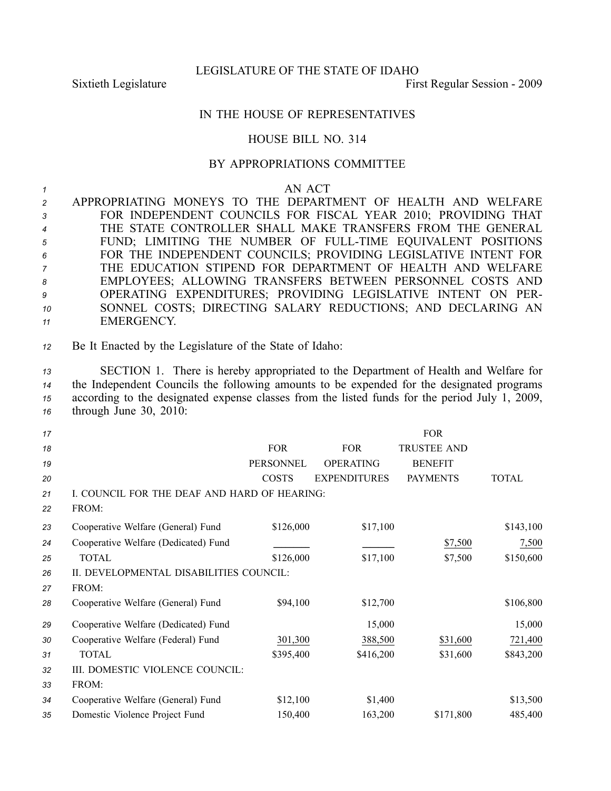LEGISLATURE OF THE STATE OF IDAHO

Sixtieth Legislature First Regular Session - 2009

## IN THE HOUSE OF REPRESENTATIVES

## HOUSE BILL NO. 314

## BY APPROPRIATIONS COMMITTEE

*1* AN ACT APPROPRIATING MONEYS TO THE DEPARTMENT OF HEALTH AND WELFARE FOR INDEPENDENT COUNCILS FOR FISCAL YEAR 2010; PROVIDING THAT THE STATE CONTROLLER SHALL MAKE TRANSFERS FROM THE GENERAL FUND; LIMITING THE NUMBER OF FULLTIME EQUIVALENT POSITIONS FOR THE INDEPENDENT COUNCILS; PROVIDING LEGISLATIVE INTENT FOR THE EDUCATION STIPEND FOR DEPARTMENT OF HEALTH AND WELFARE EMPLOYEES; ALLOWING TRANSFERS BETWEEN PERSONNEL COSTS AND OPERATING EXPENDITURES; PROVIDING LEGISLATIVE INTENT ON PER- SONNEL COSTS; DIRECTING SALARY REDUCTIONS; AND DECLARING AN EMERGENCY.

*<sup>12</sup>* Be It Enacted by the Legislature of the State of Idaho:

 SECTION 1. There is hereby appropriated to the Department of Health and Welfare for the Independent Councils the following amounts to be expended for the designated programs according to the designated expense classes from the listed funds for the period July 1, 2009, through June 30, 2010:

| 17 |                                              |              |                     | <b>FOR</b>         |           |
|----|----------------------------------------------|--------------|---------------------|--------------------|-----------|
| 18 |                                              | <b>FOR</b>   | <b>FOR</b>          | <b>TRUSTEE AND</b> |           |
| 19 |                                              | PERSONNEL    | <b>OPERATING</b>    | <b>BENEFIT</b>     |           |
| 20 |                                              | <b>COSTS</b> | <b>EXPENDITURES</b> | <b>PAYMENTS</b>    | TOTAL     |
| 21 | I. COUNCIL FOR THE DEAF AND HARD OF HEARING: |              |                     |                    |           |
| 22 | FROM:                                        |              |                     |                    |           |
| 23 | Cooperative Welfare (General) Fund           | \$126,000    | \$17,100            |                    | \$143,100 |
| 24 | Cooperative Welfare (Dedicated) Fund         |              |                     | \$7,500            | 7,500     |
| 25 | <b>TOTAL</b>                                 | \$126,000    | \$17,100            | \$7,500            | \$150,600 |
| 26 | II. DEVELOPMENTAL DISABILITIES COUNCIL:      |              |                     |                    |           |
| 27 | FROM:                                        |              |                     |                    |           |
| 28 | Cooperative Welfare (General) Fund           | \$94,100     | \$12,700            |                    | \$106,800 |
| 29 | Cooperative Welfare (Dedicated) Fund         |              | 15,000              |                    | 15,000    |
| 30 | Cooperative Welfare (Federal) Fund           | 301,300      | 388,500             | \$31,600           | 721,400   |
| 31 | TOTAL                                        | \$395,400    | \$416,200           | \$31,600           | \$843,200 |
| 32 | III. DOMESTIC VIOLENCE COUNCIL:              |              |                     |                    |           |
| 33 | FROM:                                        |              |                     |                    |           |
| 34 | Cooperative Welfare (General) Fund           | \$12,100     | \$1,400             |                    | \$13,500  |
| 35 | Domestic Violence Project Fund               | 150,400      | 163,200             | \$171,800          | 485,400   |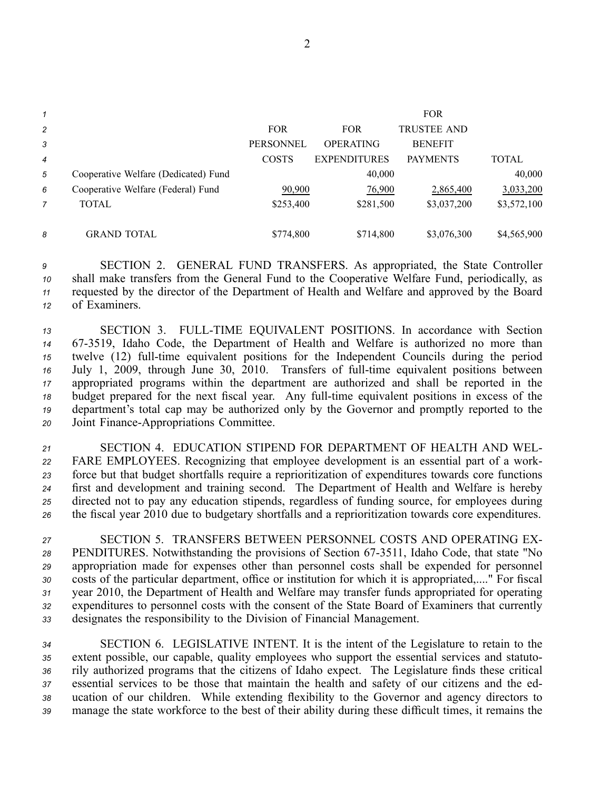| 1              |                                      |                  |                     | <b>FOR</b>         |              |
|----------------|--------------------------------------|------------------|---------------------|--------------------|--------------|
| $\overline{c}$ |                                      | <b>FOR</b>       | <b>FOR</b>          | <b>TRUSTEE AND</b> |              |
| 3              |                                      | <b>PERSONNEL</b> | <b>OPERATING</b>    | <b>BENEFIT</b>     |              |
| $\overline{4}$ |                                      | <b>COSTS</b>     | <b>EXPENDITURES</b> | <b>PAYMENTS</b>    | <b>TOTAL</b> |
| 5              | Cooperative Welfare (Dedicated) Fund |                  | 40,000              |                    | 40,000       |
| 6              | Cooperative Welfare (Federal) Fund   | 90,900           | 76,900              | 2,865,400          | 3,033,200    |
| 7              | <b>TOTAL</b>                         | \$253,400        | \$281,500           | \$3,037,200        | \$3,572,100  |
|                |                                      |                  |                     |                    |              |
| 8              | <b>GRAND TOTAL</b>                   | \$774,800        | \$714,800           | \$3,076,300        | \$4,565,900  |

 SECTION 2. GENERAL FUND TRANSFERS. As appropriated, the State Controller shall make transfers from the General Fund to the Cooperative Welfare Fund, periodically, as requested by the director of the Department of Health and Welfare and approved by the Board of Examiners.

13 SECTION 3. FULL-TIME EQUIVALENT POSITIONS. In accordance with Section 673519, Idaho Code, the Department of Health and Welfare is authorized no more than twelve (12) full-time equivalent positions for the Independent Councils during the period <sup>16</sup> July 1, 2009, through June 30, 2010. Transfers of full-time equivalent positions between appropriated programs within the department are authorized and shall be reported in the budget prepared for the next fiscal year. Any full-time equivalent positions in excess of the department's total cap may be authorized only by the Governor and promptly reported to the 20 Joint Finance-Appropriations Committee.

 SECTION 4. EDUCATION STIPEND FOR DEPARTMENT OF HEALTH AND WEL- FARE EMPLOYEES. Recognizing that employee development is an essential par<sup>t</sup> of <sup>a</sup> work- force but that budget shortfalls require <sup>a</sup> reprioritization of expenditures towards core functions first and development and training second. The Department of Health and Welfare is hereby directed not to pay any education stipends, regardless of funding source, for employees during the fiscal year 2010 due to budgetary shortfalls and <sup>a</sup> reprioritization towards core expenditures.

 SECTION 5. TRANSFERS BETWEEN PERSONNEL COSTS AND OPERATING EX-28 PENDITURES. Notwithstanding the provisions of Section 67-3511, Idaho Code, that state "No appropriation made for expenses other than personnel costs shall be expended for personnel costs of the particular department, office or institution for which it is appropriated,...." For fiscal year 2010, the Department of Health and Welfare may transfer funds appropriated for operating expenditures to personnel costs with the consent of the State Board of Examiners that currently designates the responsibility to the Division of Financial Management.

 SECTION 6. LEGISLATIVE INTENT. It is the intent of the Legislature to retain to the extent possible, our capable, quality employees who suppor<sup>t</sup> the essential services and statuto- rily authorized programs that the citizens of Idaho expect. The Legislature finds these critical essential services to be those that maintain the health and safety of our citizens and the ed- ucation of our children. While extending flexibility to the Governor and agency directors to manage the state workforce to the best of their ability during these difficult times, it remains the